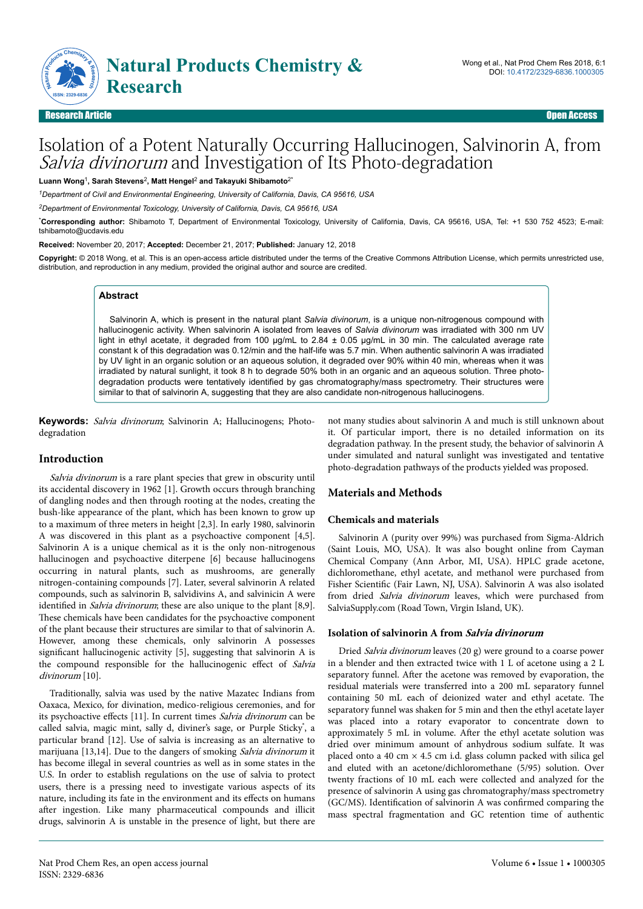

Research Article Open Access

# Isolation of a Potent Naturally Occurring Hallucinogen, Salvinorin A, from Salvia divinorum and Investigation of Its Photo-degradation

**Luann Wong**<sup>1</sup> **, Sarah Stevens**<sup>2</sup> **, Matt Hengel**<sup>2</sup>  **and Takayuki Shibamoto**2\*

*<sup>1</sup>Department of Civil and Environmental Engineering, University of California, Davis, CA 95616, USA*

*<sup>2</sup>Department of Environmental Toxicology, University of California, Davis, CA 95616, USA*

\***Corresponding author:** Shibamoto T, Department of Environmental Toxicology, University of California, Davis, CA 95616, USA, Tel: +1 530 752 4523; E-mail: tshibamoto@ucdavis.edu

**Received:** November 20, 2017; **Accepted:** December 21, 2017; **Published:** January 12, 2018

**Copyright:** © 2018 Wong, et al. This is an open-access article distributed under the terms of the Creative Commons Attribution License, which permits unrestricted use, distribution, and reproduction in any medium, provided the original author and source are credited.

## **Abstract**

Salvinorin A, which is present in the natural plant *Salvia divinorum*, is a unique non-nitrogenous compound with hallucinogenic activity. When salvinorin A isolated from leaves of *Salvia divinorum* was irradiated with 300 nm UV light in ethyl acetate, it degraded from 100 μg/mL to 2.84 ± 0.05 μg/mL in 30 min. The calculated average rate constant k of this degradation was 0.12/min and the half-life was 5.7 min. When authentic salvinorin A was irradiated by UV light in an organic solution or an aqueous solution, it degraded over 90% within 40 min, whereas when it was irradiated by natural sunlight, it took 8 h to degrade 50% both in an organic and an aqueous solution. Three photodegradation products were tentatively identified by gas chromatography/mass spectrometry. Their structures were similar to that of salvinorin A, suggesting that they are also candidate non-nitrogenous hallucinogens.

**Keywords:** Salvia divinorum; Salvinorin A; Hallucinogens; Photodegradation

## **Introduction**

Salvia divinorum is a rare plant species that grew in obscurity until its accidental discovery in 1962 [1]. Growth occurs through branching of dangling nodes and then through rooting at the nodes, creating the bush-like appearance of the plant, which has been known to grow up to a maximum of three meters in height [2,3]. In early 1980, salvinorin A was discovered in this plant as a psychoactive component [4,5]. Salvinorin A is a unique chemical as it is the only non-nitrogenous hallucinogen and psychoactive diterpene [6] because hallucinogens occurring in natural plants, such as mushrooms, are generally nitrogen-containing compounds [7]. Later, several salvinorin A related compounds, such as salvinorin B, salvidivins A, and salvinicin A were identified in *Salvia divinorum*; these are also unique to the plant [8,9]. These chemicals have been candidates for the psychoactive component of the plant because their structures are similar to that of salvinorin A. However, among these chemicals, only salvinorin A possesses significant hallucinogenic activity [5], suggesting that salvinorin A is the compound responsible for the hallucinogenic effect of Salvia divinorum [10].

Traditionally, salvia was used by the native Mazatec Indians from Oaxaca, Mexico, for divination, medico-religious ceremonies, and for its psychoactive effects [11]. In current times Salvia divinorum can be called salvia, magic mint, sally d, diviner's sage, or Purple Sticky<sup>®</sup>, a particular brand [12]. Use of salvia is increasing as an alternative to marijuana [13,14]. Due to the dangers of smoking *Salvia divinorum* it has become illegal in several countries as well as in some states in the U.S. In order to establish regulations on the use of salvia to protect users, there is a pressing need to investigate various aspects of its nature, including its fate in the environment and its effects on humans after ingestion. Like many pharmaceutical compounds and illicit drugs, salvinorin A is unstable in the presence of light, but there are

not many studies about salvinorin A and much is still unknown about it. Of particular import, there is no detailed information on its degradation pathway. In the present study, the behavior of salvinorin A under simulated and natural sunlight was investigated and tentative photo-degradation pathways of the products yielded was proposed.

# **Materials and Methods**

## **Chemicals and materials**

Salvinorin A (purity over 99%) was purchased from Sigma-Aldrich (Saint Louis, MO, USA). It was also bought online from Cayman Chemical Company (Ann Arbor, MI, USA). HPLC grade acetone, dichloromethane, ethyl acetate, and methanol were purchased from Fisher Scientific (Fair Lawn, NJ, USA). Salvinorin A was also isolated from dried Salvia divinorum leaves, which were purchased from SalviaSupply.com (Road Town, Virgin Island, UK).

## **Isolation of salvinorin A from Salvia divinorum**

Dried Salvia divinorum leaves (20 g) were ground to a coarse power in a blender and then extracted twice with 1 L of acetone using a 2 L separatory funnel. After the acetone was removed by evaporation, the residual materials were transferred into a 200 mL separatory funnel containing 50 mL each of deionized water and ethyl acetate. Нe separatory funnel was shaken for 5 min and then the ethyl acetate layer was placed into a rotary evaporator to concentrate down to approximately 5 mL in volume. After the ethyl acetate solution was dried over minimum amount of anhydrous sodium sulfate. It was placed onto a 40 cm  $\times$  4.5 cm i.d. glass column packed with silica gel and eluted with an acetone/dichloromethane (5/95) solution. Over twenty fractions of 10 mL each were collected and analyzed for the presence of salvinorin A using gas chromatography/mass spectrometry (GC/MS). Identification of salvinorin A was confirmed comparing the mass spectral fragmentation and GC retention time of authentic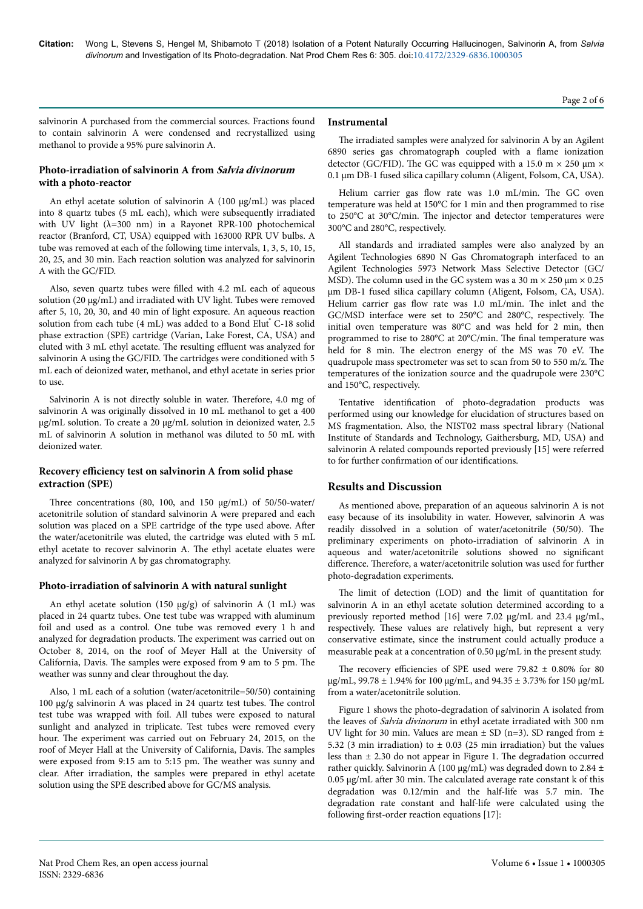Page 2 of 6

salvinorin A purchased from the commercial sources. Fractions found to contain salvinorin A were condensed and recrystallized using methanol to provide a 95% pure salvinorin A.

## **Photo-irradiation of salvinorin A from Salvia divinorum with a photo-reactor**

An ethyl acetate solution of salvinorin A (100 μg/mL) was placed into 8 quartz tubes (5 mL each), which were subsequently irradiated with UV light ( $\lambda$ =300 nm) in a Rayonet RPR-100 photochemical reactor (Branford, CT, USA) equipped with 163000 RPR UV bulbs. A tube was removed at each of the following time intervals, 1, 3, 5, 10, 15, 20, 25, and 30 min. Each reaction solution was analyzed for salvinorin A with the GC/FID.

Also, seven quartz tubes were filled with 4.2 mL each of aqueous solution (20 μg/mL) and irradiated with UV light. Tubes were removed after 5, 10, 20, 30, and 40 min of light exposure. An aqueous reaction solution from each tube (4 mL) was added to a Bond Elut<sup>®</sup> C-18 solid phase extraction (SPE) cartridge (Varian, Lake Forest, CA, USA) and eluted with 3 mL ethyl acetate. Нe resulting effluent was analyzed for salvinorin A using the GC/FID. Нe cartridges were conditioned with 5 mL each of deionized water, methanol, and ethyl acetate in series prior to use.

Salvinorin A is not directly soluble in water. Нerefore, 4.0 mg of salvinorin A was originally dissolved in 10 mL methanol to get a 400 μg/mL solution. To create a 20 μg/mL solution in deionized water, 2.5 mL of salvinorin A solution in methanol was diluted to 50 mL with deionized water.

## **Recovery efficiency test on salvinorin A from solid phase extraction (SPE)**

Нree concentrations (80, 100, and 150 μg/mL) of 50/50-water/ acetonitrile solution of standard salvinorin A were prepared and each solution was placed on a SPE cartridge of the type used above. After the water/acetonitrile was eluted, the cartridge was eluted with 5 mL ethyl acetate to recover salvinorin A. Нe ethyl acetate eluates were analyzed for salvinorin A by gas chromatography.

## **Photo-irradiation of salvinorin A with natural sunlight**

An ethyl acetate solution (150 μg/g) of salvinorin A (1 mL) was placed in 24 quartz tubes. One test tube was wrapped with aluminum foil and used as a control. One tube was removed every 1 h and analyzed for degradation products. Нe experiment was carried out on October 8, 2014, on the roof of Meyer Hall at the University of California, Davis. Нe samples were exposed from 9 am to 5 pm. Нe weather was sunny and clear throughout the day.

Also, 1 mL each of a solution (water/acetonitrile=50/50) containing 100 μg/g salvinorin A was placed in 24 quartz test tubes. Нe control test tube was wrapped with foil. All tubes were exposed to natural sunlight and analyzed in triplicate. Test tubes were removed every hour. The experiment was carried out on February 24, 2015, on the roof of Meyer Hall at the University of California, Davis. Нe samples were exposed from 9:15 am to 5:15 pm. Нe weather was sunny and clear. After irradiation, the samples were prepared in ethyl acetate solution using the SPE described above for GC/MS analysis.

## **Instrumental**

The irradiated samples were analyzed for salvinorin A by an Agilent 6890 series gas chromatograph coupled with a flame ionization detector (GC/FID). The GC was equipped with a 15.0 m  $\times$  250 µm  $\times$ 0.1 µm DB-1 fused silica capillary column (Aligent, Folsom, CA, USA).

Helium carrier gas flow rate was 1.0 mL/min. The GC oven temperature was held at 150°C for 1 min and then programmed to rise to 250°C at 30°C/min. Нe injector and detector temperatures were 300°C and 280°C, respectively.

All standards and irradiated samples were also analyzed by an Agilent Technologies 6890 N Gas Chromatograph interfaced to an Agilent Technologies 5973 Network Mass Selective Detector (GC/ MSD). The column used in the GC system was a 30 m  $\times$  250  $\mu$ m  $\times$  0.25 μm DB-1 fused silica capillary column (Aligent, Folsom, CA, USA). Helium carrier gas flow rate was 1.0 mL/min. The inlet and the GC/MSD interface were set to 250°C and 280°C, respectively. Нe initial oven temperature was 80°C and was held for 2 min, then programmed to rise to 280°C at 20°C/min. The final temperature was held for 8 min. The electron energy of the MS was 70 eV. The quadrupole mass spectrometer was set to scan from 50 to 550 m/z. Нe temperatures of the ionization source and the quadrupole were 230°C and 150°C, respectively.

Tentative identification of photo-degradation products was performed using our knowledge for elucidation of structures based on MS fragmentation. Also, the NIST02 mass spectral library (National Institute of Standards and Technology, Gaithersburg, MD, USA) and salvinorin A related compounds reported previously [15] were referred to for further confirmation of our identifications.

## **Results and Discussion**

As mentioned above, preparation of an aqueous salvinorin A is not easy because of its insolubility in water. However, salvinorin A was readily dissolved in a solution of water/acetonitrile (50/50). Нe preliminary experiments on photo-irradiation of salvinorin A in aqueous and water/acetonitrile solutions showed no significant difference. Therefore, a water/acetonitrile solution was used for further photo-degradation experiments.

The limit of detection (LOD) and the limit of quantitation for salvinorin A in an ethyl acetate solution determined according to a previously reported method [16] were 7.02 μg/mL and 23.4 μg/mL, respectively. Нese values are relatively high, but represent a very conservative estimate, since the instrument could actually produce a measurable peak at a concentration of 0.50 μg/mL in the present study.

The recovery efficiencies of SPE used were 79.82  $\pm$  0.80% for 80 μg/mL, 99.78 ± 1.94% for 100 μg/mL, and 94.35 ± 3.73% for 150 μg/mL from a water/acetonitrile solution.

Figure 1 shows the photo-degradation of salvinorin A isolated from the leaves of Salvia divinorum in ethyl acetate irradiated with 300 nm UV light for 30 min. Values are mean  $\pm$  SD (n=3). SD ranged from  $\pm$ 5.32 (3 min irradiation) to  $\pm$  0.03 (25 min irradiation) but the values less than ± 2.30 do not appear in Figure 1. Нe degradation occurred rather quickly. Salvinorin A (100 μg/mL) was degraded down to 2.84  $\pm$  $0.05$  μg/mL after 30 min. The calculated average rate constant k of this degradation was 0.12/min and the half-life was 5.7 min. Нe degradation rate constant and half-life were calculated using the following first-order reaction equations [17]: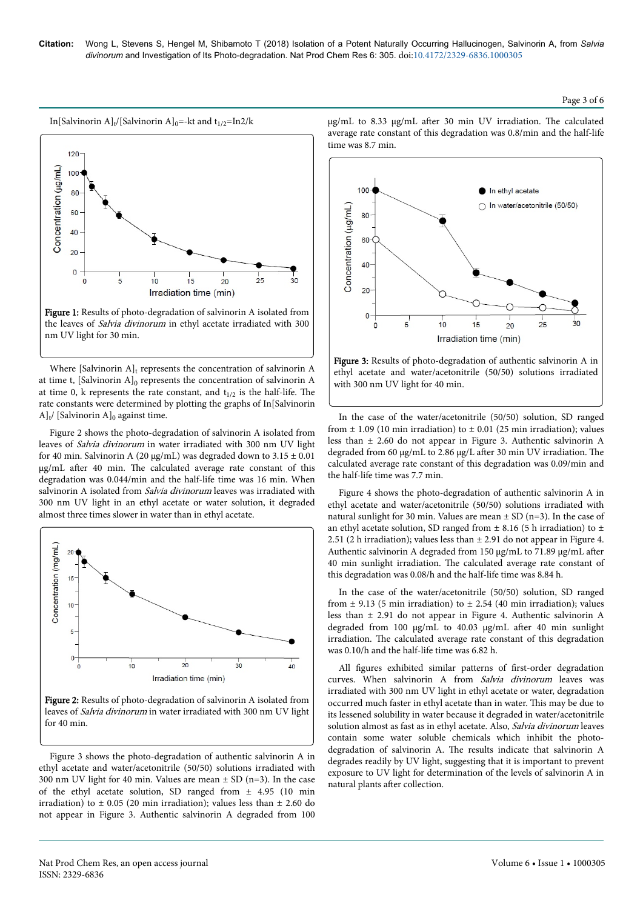$100.$ 

80

60

#### Page 3 of 6





the leaves of Salvia divinorum in ethyl acetate irradiated with 300 nm UV light for 30 min.

Where [Salvinorin  $A$ ]<sub>t</sub> represents the concentration of salvinorin A at time t,  $[Salvinorin A]_0$  represents the concentration of salvinorin A at time 0, k represents the rate constant, and  $t_{1/2}$  is the half-life. The rate constants were determined by plotting the graphs of In[Salvinorin  $A]_t$ / [Salvinorin A]<sub>0</sub> against time.

Figure 2 shows the photo-degradation of salvinorin A isolated from leaves of Salvia divinorum in water irradiated with 300 nm UV light for 40 min. Salvinorin A (20  $\mu$ g/mL) was degraded down to 3.15  $\pm$  0.01 μg/mL after 40 min. The calculated average rate constant of this degradation was 0.044/min and the half-life time was 16 min. When salvinorin A isolated from Salvia divinorum leaves was irradiated with 300 nm UV light in an ethyl acetate or water solution, it degraded almost three times slower in water than in ethyl acetate.





Figure 3 shows the photo-degradation of authentic salvinorin A in ethyl acetate and water/acetonitrile (50/50) solutions irradiated with 300 nm UV light for 40 min. Values are mean  $\pm$  SD (n=3). In the case of the ethyl acetate solution, SD ranged from ± 4.95 (10 min irradiation) to  $\pm$  0.05 (20 min irradiation); values less than  $\pm$  2.60 do not appear in Figure 3. Authentic salvinorin A degraded from 100 μg/mL to 8.33 μg/mL after 30 min UV irradiation. The calculated average rate constant of this degradation was 0.8/min and the half-life time was 8.7 min.

In ethyl acetate

In water/acetonitrile (50/50)



Figure 3: Results of photo-degradation of authentic salvinorin A in ethyl acetate and water/acetonitrile (50/50) solutions irradiated with 300 nm UV light for 40 min.

In the case of the water/acetonitrile (50/50) solution, SD ranged from  $\pm$  1.09 (10 min irradiation) to  $\pm$  0.01 (25 min irradiation); values less than ± 2.60 do not appear in Figure 3. Authentic salvinorin A degraded from 60 μg/mL to 2.86 μg/L after 30 min UV irradiation. The calculated average rate constant of this degradation was 0.09/min and the half-life time was 7.7 min.

Figure 4 shows the photo-degradation of authentic salvinorin A in ethyl acetate and water/acetonitrile (50/50) solutions irradiated with natural sunlight for 30 min. Values are mean  $\pm$  SD (n=3). In the case of an ethyl acetate solution, SD ranged from  $\pm$  8.16 (5 h irradiation) to  $\pm$ 2.51 (2 h irradiation); values less than  $\pm$  2.91 do not appear in Figure 4. Authentic salvinorin A degraded from 150 μg/mL to 71.89 μg/mL after 40 min sunlight irradiation. Нe calculated average rate constant of this degradation was 0.08/h and the half-life time was 8.84 h.

In the case of the water/acetonitrile (50/50) solution, SD ranged from  $\pm$  9.13 (5 min irradiation) to  $\pm$  2.54 (40 min irradiation); values less than ± 2.91 do not appear in Figure 4. Authentic salvinorin A degraded from 100 μg/mL to 40.03 μg/mL after 40 min sunlight irradiation. Нe calculated average rate constant of this degradation was 0.10/h and the half-life time was 6.82 h.

All figures exhibited similar patterns of first-order degradation curves. When salvinorin A from Salvia divinorum leaves was irradiated with 300 nm UV light in ethyl acetate or water, degradation occurred much faster in ethyl acetate than in water. This may be due to its lessened solubility in water because it degraded in water/acetonitrile solution almost as fast as in ethyl acetate. Also, Salvia divinorum leaves contain some water soluble chemicals which inhibit the photodegradation of salvinorin A. Нe results indicate that salvinorin A degrades readily by UV light, suggesting that it is important to prevent exposure to UV light for determination of the levels of salvinorin A in natural plants after collection.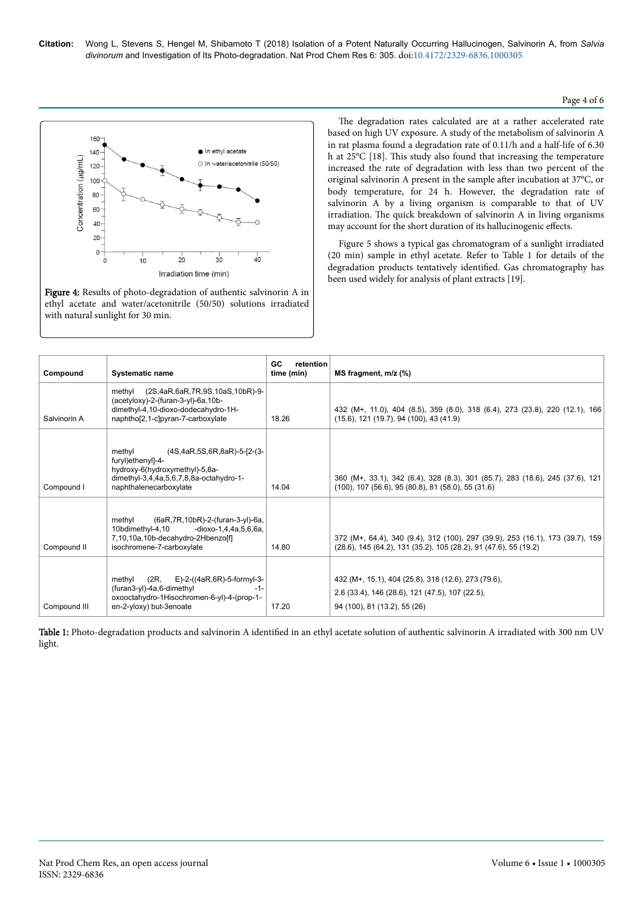#### Page 4 of 6



Figure 4: Results of photo-degradation of authentic salvinorin A in ethyl acetate and water/acetonitrile (50/50) solutions irradiated with natural sunlight for 30 min.

The degradation rates calculated are at a rather accelerated rate based on high UV exposure. A study of the metabolism of salvinorin A in rat plasma found a degradation rate of 0.11/h and a half-life of 6.30 h at 25°C [18]. This study also found that increasing the temperature increased the rate of degradation with less than two percent of the original salvinorin A present in the sample after incubation at 37°C, or body temperature, for 24 h. However, the degradation rate of salvinorin A by a living organism is comparable to that of UV irradiation. Нe quick breakdown of salvinorin A in living organisms may account for the short duration of its hallucinogenic effects.

Figure 5 shows a typical gas chromatogram of a sunlight irradiated (20 min) sample in ethyl acetate. Refer to Table 1 for details of the degradation products tentatively identified. Gas chromatography has been used widely for analysis of plant extracts [19].

| Compound     | <b>Systematic name</b>                                                                                                                                            | <b>GC</b><br>retention<br>time (min) | MS fragment, m/z (%)                                                                                                                              |
|--------------|-------------------------------------------------------------------------------------------------------------------------------------------------------------------|--------------------------------------|---------------------------------------------------------------------------------------------------------------------------------------------------|
| Salvinorin A | methyl (2S,4aR,6aR,7R,9S,10aS,10bR)-9-<br>(acetyloxy)-2-(furan-3-yl)-6a,10b-<br>dimethyl-4,10-dioxo-dodecahydro-1H-<br>naphthol2,1-clpyran-7-carboxylate          | 18.26                                | 432 (M+, 11.0), 404 (8.5), 359 (8.0), 318 (6.4), 273 (23.8), 220 (12.1), 166<br>$(15.6)$ , 121 $(19.7)$ , 94 $(100)$ , 43 $(41.9)$                |
| Compound I   | (4S,4aR,5S,6R,8aR)-5-[2-(3-<br>methyl<br>furyl)ethenyl]-4-<br>hydroxy-6(hydroxymethyl)-5,8a-<br>dimethyl-3,4,4a,5,6,7,8,8a-octahydro-1-<br>naphthalenecarboxylate | 14.04                                | 360 (M+, 33.1), 342 (6.4), 328 (8.3), 301 (85.7), 283 (18.6), 245 (37.6), 121<br>$(100)$ , 107 $(56.6)$ , 95 $(80.8)$ , 81 $(58.0)$ , 55 $(31.6)$ |
| Compound II  | (6aR, 7R, 10bR)-2-(furan-3-yl)-6a,<br>methyl<br>10bdimethyl-4,10 -dioxo-1,4,4a,5,6,6a,<br>7,10,10a,10b-decahydro-2Hbenzolfl<br>isochromene-7-carboxylate          | 14.80                                | 372 (M+, 64.4), 340 (9.4), 312 (100), 297 (39.9), 253 (16.1), 173 (39.7), 159<br>(28.6), 145 (64.2), 131 (35.2), 105 (28.2), 91 (47.6), 55 (19.2) |
| Compound III | (2R, E)-2-((4aR,6R)-5-formyl-3-<br>methvl<br>(furan3-yl)-4a,6-dimethyl<br>-1-<br>oxooctahydro-1Hisochromen-6-yl)-4-(prop-1-<br>en-2-yloxy) but-3enoate            | 17.20                                | 432 (M+, 15.1), 404 (25.8), 318 (12.6), 273 (79.6),<br>2.6 (33.4), 146 (28.6), 121 (47.5), 107 (22.5),<br>94 (100), 81 (13.2), 55 (26)            |

Table 1: Photo-degradation products and salvinorin A identified in an ethyl acetate solution of authentic salvinorin A irradiated with 300 nm UV light.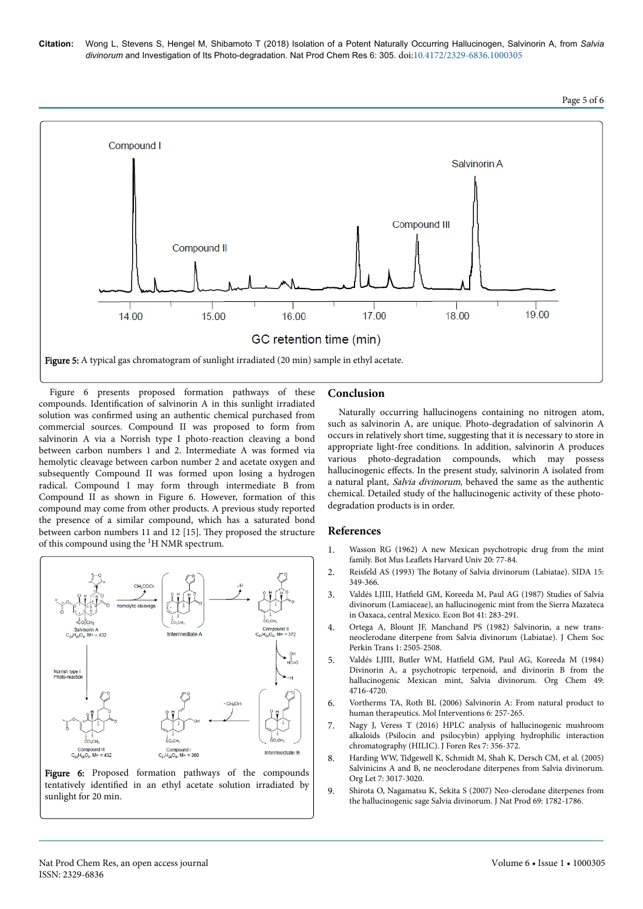



Figure 6 presents proposed formation pathways of these compounds. Identification of salvinorin A in this sunlight irradiated solution was confirmed using an authentic chemical purchased from commercial sources. Compound II was proposed to form from salvinorin A via a Norrish type I photo-reaction cleaving a bond between carbon numbers 1 and 2. Intermediate A was formed via hemolytic cleavage between carbon number 2 and acetate oxygen and subsequently Compound II was formed upon losing a hydrogen radical. Compound I may form through intermediate B from Compound II as shown in Figure 6. However, formation of this compound may come from other products. A previous study reported the presence of a similar compound, which has a saturated bond between carbon numbers 11 and 12 [15]. They proposed the structure of this compound using the 1H NMR spectrum.



Figure 6: Proposed formation pathways of the compounds tentatively identified in an ethyl acetate solution irradiated by sunlight for 20 min.

#### **Conclusion**

Naturally occurring hallucinogens containing no nitrogen atom, such as salvinorin A, are unique. Photo-degradation of salvinorin A occurs in relatively short time, suggesting that it is necessary to store in appropriate light-free conditions. In addition, salvinorin A produces various photo-degradation compounds, which may possess hallucinogenic effects. In the present study, salvinorin A isolated from a natural plant, Salvia divinorum, behaved the same as the authentic chemical. Detailed study of the hallucinogenic activity of these photodegradation products is in order.

#### **References**

- 1. [Wasson RG \(1962\) A new Mexican psychotropic drug from the mint](http://www.jstor.org/stable/41762226) family. Bot Mus Leaflets [Harvard Univ 20: 77-84.](http://www.jstor.org/stable/41762226)
- 2. Reisfeld AS (1993) Нe [Botany of Salvia divinorum \(Labiatae\). SIDA 15:](http://www.jstor.org/stable/41967014) [349-366.](http://www.jstor.org/stable/41967014)
- 3. Valdés LJIII, Hatfield [GM, Koreeda M, Paul AG \(1987\) Studies of Salvia](http://www.springerlink.com/index/X57261Q272668214.pdf) [divinorum \(Lamiaceae\), an hallucinogenic mint from the Sierra Mazateca](http://www.springerlink.com/index/X57261Q272668214.pdf) [in Oaxaca, central Mexico. Econ Bot 41: 283-291.](http://www.springerlink.com/index/X57261Q272668214.pdf)
- 4. [Ortega A, Blount JF, Manchand PS \(1982\) Salvinorin, a new trans](http://pubs.rsc.org/is/content/articlehtml/1982/p1/p19820002505)[neoclerodane diterpene from Salvia divinorum \(Labiatae\). J Chem Soc](http://pubs.rsc.org/is/content/articlehtml/1982/p1/p19820002505) [Perkin Trans 1: 2505-2508.](http://pubs.rsc.org/is/content/articlehtml/1982/p1/p19820002505)
- 5. Valdés LJIII, Butler WM, Hatfield [GM, Paul AG, Koreeda M \(1984\)](http://pubs.acs.org/doi/pdf/10.1021/jo00198a026) [Divinorin A, a psychotropic terpenoid, and divinorin B from the](http://pubs.acs.org/doi/pdf/10.1021/jo00198a026) [hallucinogenic Mexican mint, Salvia divinorum. Org Chem 49:](http://pubs.acs.org/doi/pdf/10.1021/jo00198a026) [4716-4720.](http://pubs.acs.org/doi/pdf/10.1021/jo00198a026)
- 6. Vortherms TA, Roth BL (2006) Salvinorin A: From natural product to human therapeutics. Mol Interventions 6: 257-265.
- 7. Nagy J, Veress T (2016) HPLC analysis of hallucinogenic mushroom alkaloids (Psilocin and psilocybin) applying hydrophilic interaction chromatography (HILIC). J Foren Res 7: 356-372.
- 8. [Harding WW, Tidgewell K, Schmidt M, Shah K, Dersch CM, et al. \(2005\)](http://pubs.acs.org/doi/abs/10.1021/ol0510522) [Salvinicins A and B, ne neoclerodane diterpenes from Salvia divinorum.](http://pubs.acs.org/doi/abs/10.1021/ol0510522) [Org Let 7: 3017-3020.](http://pubs.acs.org/doi/abs/10.1021/ol0510522)
- 9. [Shirota O, Nagamatsu K, Sekita S \(2007\) Neo-clerodane diterpenes from](http://pubs.acs.org/doi/abs/10.1021/np060456f) [the hallucinogenic sage Salvia divinorum. J Nat Prod 69: 1782-1786.](http://pubs.acs.org/doi/abs/10.1021/np060456f)